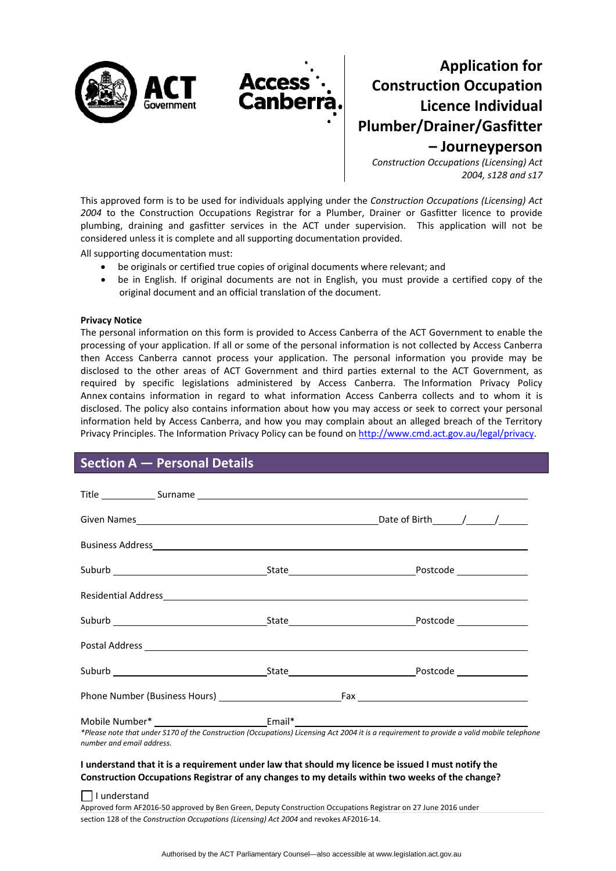

# **Application for Construction Occupation Licence Individual Plumber/Drainer/Gasfitter – Journeyperson**

*Construction Occupations (Licensing) Act 2004, s128 and s17*

This approved form is to be used for individuals applying under the *Construction Occupations (Licensing) Act 2004* to the Construction Occupations Registrar for a Plumber, Drainer or Gasfitter licence to provide plumbing, draining and gasfitter services in the ACT under supervision. This application will not be considered unless it is complete and all supporting documentation provided.

All supporting documentation must:

- be originals or certified true copies of original documents where relevant; and
- be in English. If original documents are not in English, you must provide a certified copy of the original document and an official translation of the document.

#### **Privacy Notice**

The personal information on this form is provided to Access Canberra of the ACT Government to enable the processing of your application. If all or some of the personal information is not collected by Access Canberra then Access Canberra cannot process your application. The personal information you provide may be disclosed to the other areas of ACT Government and third parties external to the ACT Government, as required by specific legislations administered by Access Canberra. The [Information](http://www.environment.act.gov.au/__data/assets/pdf_file/0006/633741/Information-Privacy-Policy-Annex.pdf) Privacy Policy [Annex](http://www.environment.act.gov.au/__data/assets/pdf_file/0006/633741/Information-Privacy-Policy-Annex.pdf) contains information in regard to what information Access Canberra collects and to whom it is disclosed. The policy also contains information about how you may access or seek to correct your personal information held by Access Canberra, and how you may complain about an alleged breach of the Territory Privacy Principles. The Information Privacy Policy can be found on <http://www.cmd.act.gov.au/legal/privacy>.

## **Section A — Personal Details**

| number and email address. | *Please note that under S170 of the Construction (Occupations) Licensing Act 2004 it is a requirement to provide a valid mobile telephone |
|---------------------------|-------------------------------------------------------------------------------------------------------------------------------------------|

### I understand that it is a requirement under law that should my licence be issued I must notify the **Construction Occupations Registrar of any changes to my details within two weeks of the change?**

 $\Box$  I understand

Approved form AF2016‐50 approved by Ben Green, Deputy Construction Occupations Registrar on 27 June 2016 under section 128 of the *Construction Occupations (Licensing) Act 2004* and revokes AF2016‐14.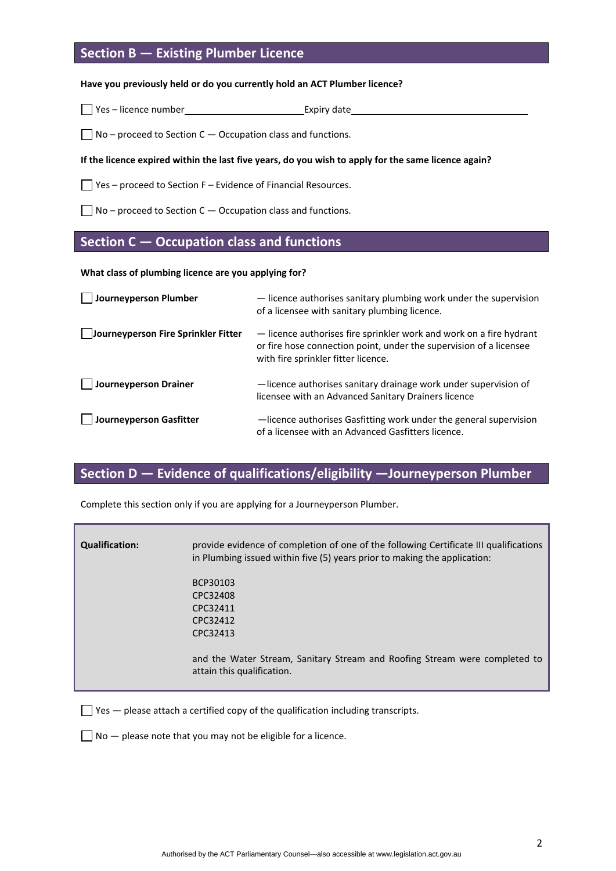## **Section B — Existing Plumber Licence**

#### **Have you previously held or do you currently hold an ACT Plumber licence?**

 $\Box$  Yes – licence number Expiry date

 $\Box$  No – proceed to Section C – Occupation class and functions.

### If the licence expired within the last five years, do you wish to apply for the same licence again?

 $\Box$  Yes – proceed to Section F – Evidence of Financial Resources.

 $\Box$  No – proceed to Section C – Occupation class and functions.

### **Section C — Occupation class and functions**

**What class of plumbing licence are you applying for?**

| Journeyperson Plumber               | - licence authorises sanitary plumbing work under the supervision<br>of a licensee with sanitary plumbing licence.                                                               |
|-------------------------------------|----------------------------------------------------------------------------------------------------------------------------------------------------------------------------------|
| Journeyperson Fire Sprinkler Fitter | - licence authorises fire sprinkler work and work on a fire hydrant<br>or fire hose connection point, under the supervision of a licensee<br>with fire sprinkler fitter licence. |
| <b>Journeyperson Drainer</b>        | -licence authorises sanitary drainage work under supervision of<br>licensee with an Advanced Sanitary Drainers licence                                                           |
| Journeyperson Gasfitter             | -licence authorises Gasfitting work under the general supervision<br>of a licensee with an Advanced Gasfitters licence.                                                          |

# **Section D — Evidence of qualifications/eligibility —Journeyperson Plumber**

Complete this section only if you are applying for a Journeyperson Plumber.

| <b>Qualification:</b> | provide evidence of completion of one of the following Certificate III qualifications<br>in Plumbing issued within five (5) years prior to making the application: |
|-----------------------|--------------------------------------------------------------------------------------------------------------------------------------------------------------------|
|                       | BCP30103                                                                                                                                                           |
|                       | CPC32408                                                                                                                                                           |
|                       | CPC32411                                                                                                                                                           |
|                       | CPC32412                                                                                                                                                           |
|                       | CPC32413                                                                                                                                                           |
|                       |                                                                                                                                                                    |
|                       | and the Water Stream, Sanitary Stream and Roofing Stream were completed to<br>attain this qualification.                                                           |

 $\Box$  Yes  $-$  please attach a certified copy of the qualification including transcripts.

 $\Box$  No  $-$  please note that you may not be eligible for a licence.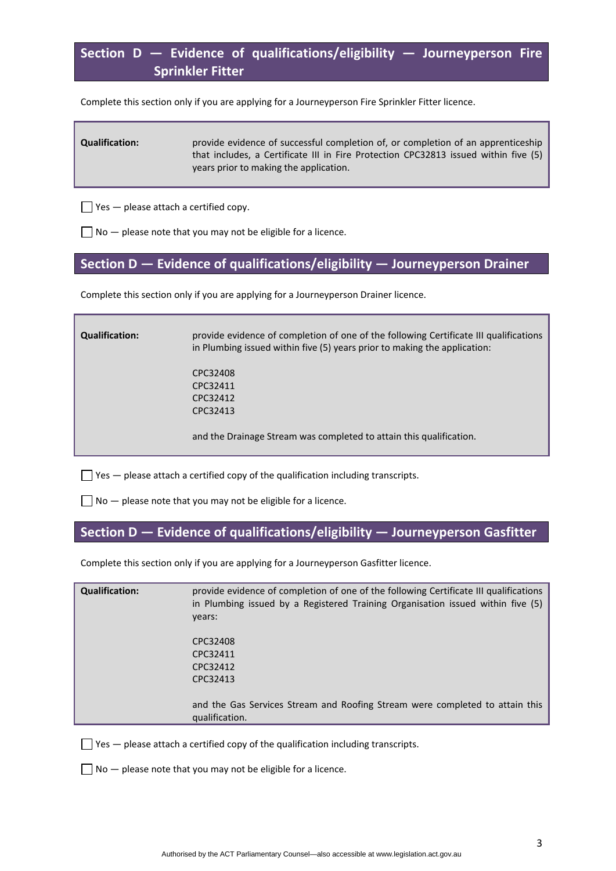# **Section D — Evidence of qualifications/eligibility — Journeyperson Fire Sprinkler Fitter**

Complete this section only if you are applying for a Journeyperson Fire Sprinkler Fitter licence.

**Qualification:** provide evidence of successful completion of, or completion of an apprenticeship that includes, a Certificate III in Fire Protection CPC32813 issued within five (5) years prior to making the application.

 $\Box$  Yes  $-$  please attach a certified copy.

 $\Box$  No  $-$  please note that you may not be eligible for a licence.

### **Section D — Evidence of qualifications/eligibility — Journeyperson Drainer**

Complete this section only if you are applying for a Journeyperson Drainer licence.

| <b>Qualification:</b> | provide evidence of completion of one of the following Certificate III qualifications<br>in Plumbing issued within five (5) years prior to making the application: |
|-----------------------|--------------------------------------------------------------------------------------------------------------------------------------------------------------------|
|                       | CPC32408                                                                                                                                                           |
|                       | CPC32411                                                                                                                                                           |
|                       | CPC32412                                                                                                                                                           |
|                       | CPC32413                                                                                                                                                           |
|                       | and the Drainage Stream was completed to attain this qualification.                                                                                                |

 $\Box$  Yes  $-$  please attach a certified copy of the qualification including transcripts.

 $\Box$  No  $-$  please note that you may not be eligible for a licence.

### **Section D — Evidence of qualifications/eligibility — Journeyperson Gasfitter**

Complete this section only if you are applying for a Journeyperson Gasfitter licence.

| <b>Qualification:</b> | provide evidence of completion of one of the following Certificate III qualifications<br>in Plumbing issued by a Registered Training Organisation issued within five (5)<br>years: |
|-----------------------|------------------------------------------------------------------------------------------------------------------------------------------------------------------------------------|
|                       | CPC32408                                                                                                                                                                           |
|                       | CPC32411                                                                                                                                                                           |
|                       | CPC32412                                                                                                                                                                           |
|                       | CPC32413                                                                                                                                                                           |
|                       | and the Gas Services Stream and Roofing Stream were completed to attain this<br>qualification.                                                                                     |
|                       |                                                                                                                                                                                    |

 $\Box$  Yes  $-$  please attach a certified copy of the qualification including transcripts.

 $\Box$  No  $-$  please note that you may not be eligible for a licence.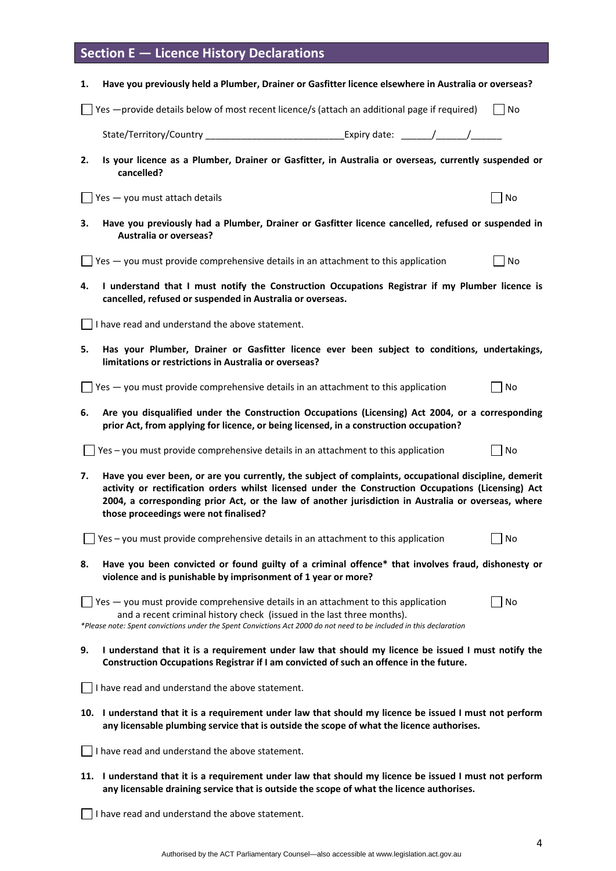# **Section E — Licence History Declarations**

| 1.                                                                                                                                                                                                                                                                                                                                                                 | Have you previously held a Plumber, Drainer or Gasfitter licence elsewhere in Australia or overseas?                                                                                                                                                                                                |                             |  |  |
|--------------------------------------------------------------------------------------------------------------------------------------------------------------------------------------------------------------------------------------------------------------------------------------------------------------------------------------------------------------------|-----------------------------------------------------------------------------------------------------------------------------------------------------------------------------------------------------------------------------------------------------------------------------------------------------|-----------------------------|--|--|
|                                                                                                                                                                                                                                                                                                                                                                    | Yes -provide details below of most recent licence/s (attach an additional page if required)                                                                                                                                                                                                         | No                          |  |  |
|                                                                                                                                                                                                                                                                                                                                                                    | State/Territory/Country _________________________________Expiry date: _______/_______/                                                                                                                                                                                                              |                             |  |  |
| 2.                                                                                                                                                                                                                                                                                                                                                                 | Is your licence as a Plumber, Drainer or Gasfitter, in Australia or overseas, currently suspended or<br>cancelled?                                                                                                                                                                                  |                             |  |  |
|                                                                                                                                                                                                                                                                                                                                                                    | Yes - you must attach details                                                                                                                                                                                                                                                                       | No                          |  |  |
| 3.                                                                                                                                                                                                                                                                                                                                                                 | Have you previously had a Plumber, Drainer or Gasfitter licence cancelled, refused or suspended in<br><b>Australia or overseas?</b>                                                                                                                                                                 |                             |  |  |
|                                                                                                                                                                                                                                                                                                                                                                    | $\Box$ Yes $-$ you must provide comprehensive details in an attachment to this application                                                                                                                                                                                                          | No                          |  |  |
| 4.                                                                                                                                                                                                                                                                                                                                                                 | I understand that I must notify the Construction Occupations Registrar if my Plumber licence is<br>cancelled, refused or suspended in Australia or overseas.                                                                                                                                        |                             |  |  |
|                                                                                                                                                                                                                                                                                                                                                                    | I have read and understand the above statement.                                                                                                                                                                                                                                                     |                             |  |  |
| 5.                                                                                                                                                                                                                                                                                                                                                                 | Has your Plumber, Drainer or Gasfitter licence ever been subject to conditions, undertakings,<br>limitations or restrictions in Australia or overseas?                                                                                                                                              |                             |  |  |
|                                                                                                                                                                                                                                                                                                                                                                    | $\gamma$ Yes $-$ you must provide comprehensive details in an attachment to this application                                                                                                                                                                                                        | $\overline{\phantom{a}}$ No |  |  |
| 6.                                                                                                                                                                                                                                                                                                                                                                 | Are you disqualified under the Construction Occupations (Licensing) Act 2004, or a corresponding<br>prior Act, from applying for licence, or being licensed, in a construction occupation?                                                                                                          |                             |  |  |
|                                                                                                                                                                                                                                                                                                                                                                    | $\Box$ Yes – you must provide comprehensive details in an attachment to this application                                                                                                                                                                                                            | $\overline{\phantom{a}}$ No |  |  |
| 7.<br>Have you ever been, or are you currently, the subject of complaints, occupational discipline, demerit<br>activity or rectification orders whilst licensed under the Construction Occupations (Licensing) Act<br>2004, a corresponding prior Act, or the law of another jurisdiction in Australia or overseas, where<br>those proceedings were not finalised? |                                                                                                                                                                                                                                                                                                     |                             |  |  |
|                                                                                                                                                                                                                                                                                                                                                                    | Yes - you must provide comprehensive details in an attachment to this application                                                                                                                                                                                                                   | No                          |  |  |
| 8.                                                                                                                                                                                                                                                                                                                                                                 | Have you been convicted or found guilty of a criminal offence* that involves fraud, dishonesty or<br>violence and is punishable by imprisonment of 1 year or more?                                                                                                                                  |                             |  |  |
|                                                                                                                                                                                                                                                                                                                                                                    | $\sqrt{1 + 1}$ Yes $-$ you must provide comprehensive details in an attachment to this application<br>and a recent criminal history check (issued in the last three months).<br>*Please note: Spent convictions under the Spent Convictions Act 2000 do not need to be included in this declaration | No                          |  |  |
| 9.                                                                                                                                                                                                                                                                                                                                                                 | I understand that it is a requirement under law that should my licence be issued I must notify the<br>Construction Occupations Registrar if I am convicted of such an offence in the future.                                                                                                        |                             |  |  |
|                                                                                                                                                                                                                                                                                                                                                                    | I have read and understand the above statement.                                                                                                                                                                                                                                                     |                             |  |  |
| 10. I understand that it is a requirement under law that should my licence be issued I must not perform<br>any licensable plumbing service that is outside the scope of what the licence authorises.                                                                                                                                                               |                                                                                                                                                                                                                                                                                                     |                             |  |  |
|                                                                                                                                                                                                                                                                                                                                                                    | I have read and understand the above statement.                                                                                                                                                                                                                                                     |                             |  |  |
| 11. I understand that it is a requirement under law that should my licence be issued I must not perform<br>any licensable draining service that is outside the scope of what the licence authorises.                                                                                                                                                               |                                                                                                                                                                                                                                                                                                     |                             |  |  |
|                                                                                                                                                                                                                                                                                                                                                                    |                                                                                                                                                                                                                                                                                                     |                             |  |  |

I have read and understand the above statement.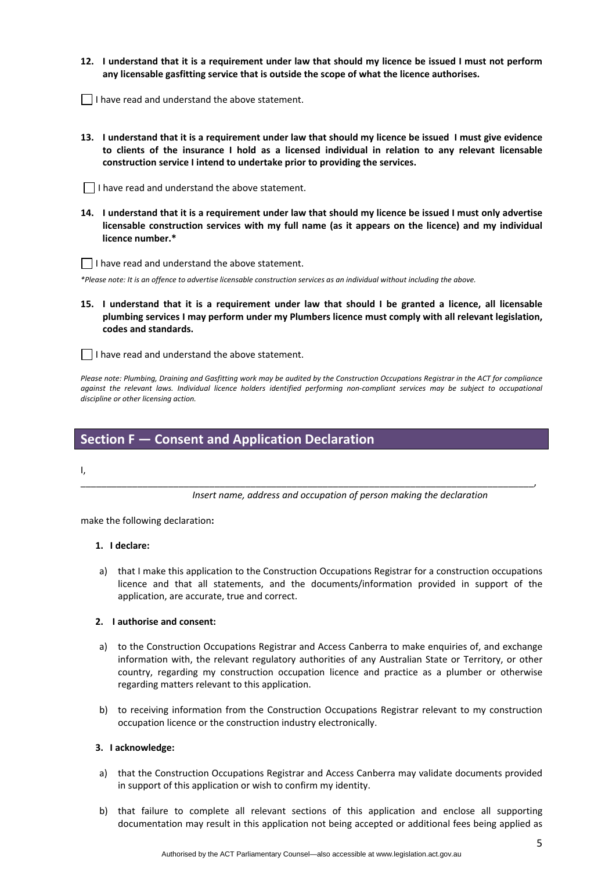- 12. I understand that it is a requirement under law that should my licence be issued I must not perform **any licensable gasfitting service that is outside the scope of what the licence authorises.**
- $\vert \ \vert$  I have read and understand the above statement.
- 13. I understand that it is a requirement under law that should my licence be issued I must give evidence **to clients of the insurance I hold as a licensed individual in relation to any relevant licensable construction service I intend to undertake prior to providing the services.**

 $\Box$  I have read and understand the above statement.

14. I understand that it is a requirement under law that should my licence be issued I must only advertise **licensable construction services with my full name (as it appears on the licence) and my individual licence number.\*** 

 $\Box$  I have read and understand the above statement.

\*Please note: It is an offence to advertise licensable construction services as an individual without including the above.

15. I understand that it is a requirement under law that should I be granted a licence, all licensable **plumbing services I may perform under my Plumbers licence must comply with all relevant legislation, codes and standards.** 

I have read and understand the above statement.

Please note: Plumbing, Draining and Gasfitting work may be audited by the Construction Occupations Registrar in the ACT for compliance against the relevant laws. Individual licence holders identified performing non-compliant services may be subject to occupational *discipline or other licensing action.*

\_\_\_\_\_\_\_\_\_\_\_\_\_\_\_\_\_\_\_\_\_\_\_\_\_\_\_\_\_\_\_\_\_\_\_\_\_\_\_\_\_\_\_\_\_\_\_\_\_\_\_\_\_\_\_\_\_\_\_\_\_\_\_\_\_\_\_\_\_\_\_\_\_\_\_\_\_\_\_\_\_\_\_\_\_\_\_\_,

### **Section F — Consent and Application Declaration**

I,

*Insert name, address and occupation of person making the declaration*

make the following declaration**:**

#### **1. I declare:**

a) that I make this application to the Construction Occupations Registrar for a construction occupations licence and that all statements, and the documents/information provided in support of the application, are accurate, true and correct.

#### **2. I authorise and consent:**

- a) to the Construction Occupations Registrar and Access Canberra to make enquiries of, and exchange information with, the relevant regulatory authorities of any Australian State or Territory, or other country, regarding my construction occupation licence and practice as a plumber or otherwise regarding matters relevant to this application.
- b) to receiving information from the Construction Occupations Registrar relevant to my construction occupation licence or the construction industry electronically.

#### **3. I acknowledge:**

- a) that the Construction Occupations Registrar and Access Canberra may validate documents provided in support of this application or wish to confirm my identity.
- b) that failure to complete all relevant sections of this application and enclose all supporting documentation may result in this application not being accepted or additional fees being applied as